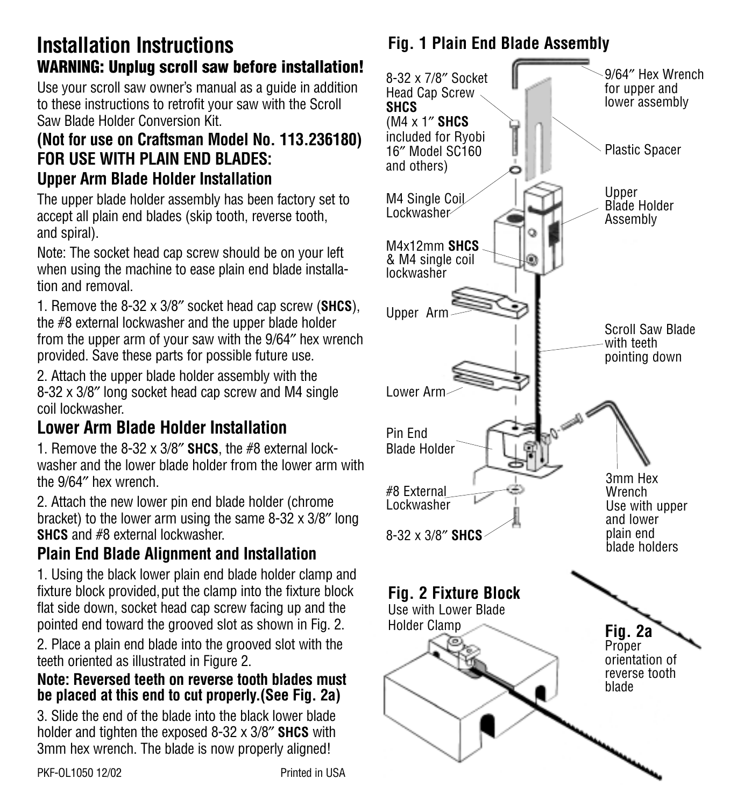# **Installation Instructions WARNING: Unplug scroll saw before installation!**

Use your scroll saw owner's manual as a guide in addition to these instructions to retrofit your saw with the Scroll Saw Blade Holder Conversion Kit.

#### **(Not for use on Craftsman Model No. 113.236180) FOR USE WITH PLAIN END BLADES: Upper Arm Blade Holder Installation**

The upper blade holder assembly has been factory set to accept all plain end blades (skip tooth, reverse tooth, and spiral).

Note: The socket head cap screw should be on your left when using the machine to ease plain end blade installation and removal.

1. Remove the 8-32 x 3/8″ socket head cap screw (**SHCS**), the #8 external lockwasher and the upper blade holder from the upper arm of your saw with the 9/64″ hex wrench provided. Save these parts for possible future use.

2. Attach the upper blade holder assembly with the 8-32 x 3/8″ long socket head cap screw and M4 single coil lockwasher.

# **Lower Arm Blade Holder Installation**

1. Remove the 8-32 x 3/8″ **SHCS**, the #8 external lockwasher and the lower blade holder from the lower arm with the 9/64″ hex wrench.

2. Attach the new lower pin end blade holder (chrome bracket) to the lower arm using the same 8-32 x 3/8″ long **SHCS** and #8 external lockwasher.

## **Plain End Blade Alignment and Installation**

1. Using the black lower plain end blade holder clamp and fixture block provided, put the clamp into the fixture block flat side down, socket head cap screw facing up and the pointed end toward the grooved slot as shown in Fig. 2. 2. Place a plain end blade into the grooved slot with the teeth oriented as illustrated in Figure 2.

#### **Note: Reversed teeth on reverse tooth blades must be placed at this end to cut properly.(See Fig. 2a)**

3. Slide the end of the blade into the black lower blade holder and tighten the exposed 8-32 x 3/8″ **SHCS** with 3mm hex wrench. The blade is now properly aligned!

# **Fig. 1 Plain End Blade Assembly**